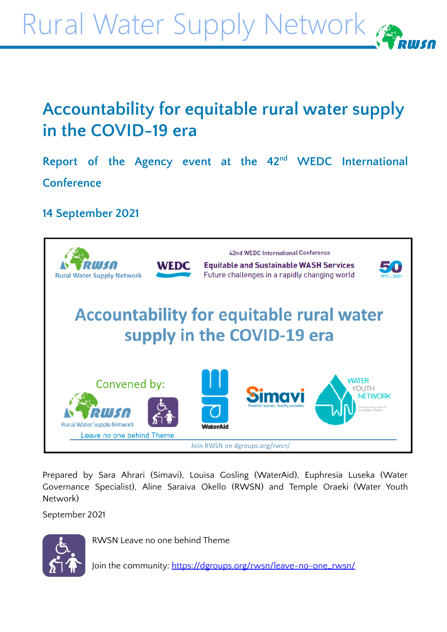Rural Water Supply Network

# **Accountability for equitable rural water supply in the COVID-19 era**

**Report of the Agency event at the 42 nd WEDC International Conference**

## **14 September 2021**



Prepared by Sara Ahrari (Simavi), Louisa Gosling (WaterAid), Euphresia Luseka (Water Governance Specialist), Aline Saraiva Okello (RWSN) and Temple Oraeki (Water Youth Network)

September 2021



RWSN Leave no one behind Theme

Join the community: [https://dgroups.org/rwsn/leave-no-one\\_rwsn/](https://dgroups.org/rwsn/leave-no-one_rwsn/)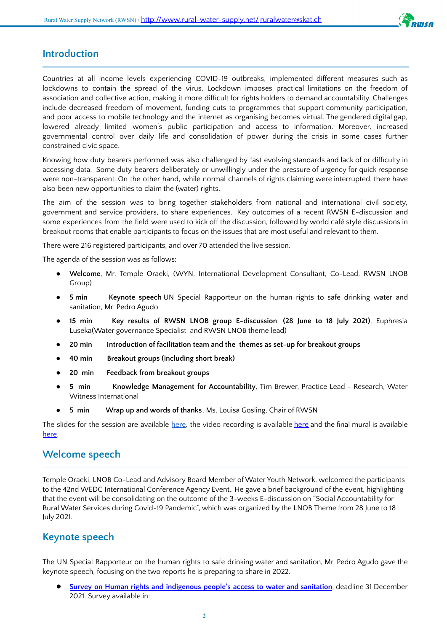

#### **Introduction**

Countries at all income levels experiencing COVID-19 outbreaks, implemented different measures such as lockdowns to contain the spread of the virus. Lockdown imposes practical limitations on the freedom of association and collective action, making it more difficult for rights holders to demand accountability. Challenges include decreased freedom of movement, funding cuts to programmes that support community participation, and poor access to mobile technology and the internet as organising becomes virtual. The gendered digital gap, lowered already limited women's public participation and access to information. Moreover, increased governmental control over daily life and consolidation of power during the crisis in some cases further constrained civic space.

Knowing how duty bearers performed was also challenged by fast evolving standards and lack of or difficulty in accessing data. Some duty bearers deliberately or unwillingly under the pressure of urgency for quick response were non-transparent. On the other hand, while normal channels of rights claiming were interrupted, there have also been new opportunities to claim the (water) rights.

The aim of the session was to bring together stakeholders from national and international civil society, government and service providers, to share experiences. Key outcomes of a recent RWSN E-discussion and some experiences from the field were used to kick off the discussion, followed by world café style discussions in breakout rooms that enable participants to focus on the issues that are most useful and relevant to them.

There were 216 registered participants, and over 70 attended the live session.

The agenda of the session was as follows:

- **Welcome**, Mr. Temple Oraeki, (WYN, International Development Consultant, Co-Lead, RWSN LNOB Group)
- **5 min Keynote speech** UN Special Rapporteur on the human rights to safe drinking water and sanitation, Mr. Pedro Agudo
- **15 min Key results of RWSN LNOB group E-discussion (28 June to 18 July 2021)**, Euphresia Luseka(Water governance Specialist and RWSN LNOB theme lead)
- **20 min Introduction of facilitation team and the themes as set-up for breakout groups**
- **40 min Breakout groups (including short break)**
- **20 min Feedback from breakout groups**
- **5 min Knowledge Management for Accountability**, Tim Brewer, Practice Lead Research, Water Witness International
- **5 min Wrap up and words of thanks**, Ms. Louisa Gosling, Chair of RWSN

The slides for the session are available [here,](https://www.rural-water-supply.net/en/resources/details/1020) the video recording is available [here](https://vimeo.com/605879055) and the final mural is available [here.](https://app.mural.co/t/watershedbd5769/m/watershedbd5769/1629970062523/668c950388722de67f5d4a4aec6e18f3b6847cbd?sender=bd2260f4-5139-4286-9e59-79f246e05443)

#### **Welcome speech**

Temple Oraeki, LNOB Co-Lead and Advisory Board Member of Water Youth Network, welcomed the participants to the 42nd WEDC International Conference Agency Event*.* He gave a brief background of the event, highlighting that the event will be consolidating on the outcome of the 3-weeks E-discussion on "Social Accountability for Rural Water Services during Covid-19 Pandemic", which was organized by the LNOB Theme from 28 June to 18 July 2021.

#### **Keynote speech**

The UN Special Rapporteur on the human rights to safe drinking water and sanitation, Mr. Pedro Agudo gave the keynote speech, focusing on the two reports he is preparing to share in 2022.

● **Survey on Human rights and [indigenous](https://docs.google.com/forms/d/e/1FAIpQLSe5UesCtRPXyxX470FGRa6CN6lp9shO0Yzwigy97JJhTRe40Q/viewform) people's access to water and sanitation**, deadline 31 December 2021. Survey available in: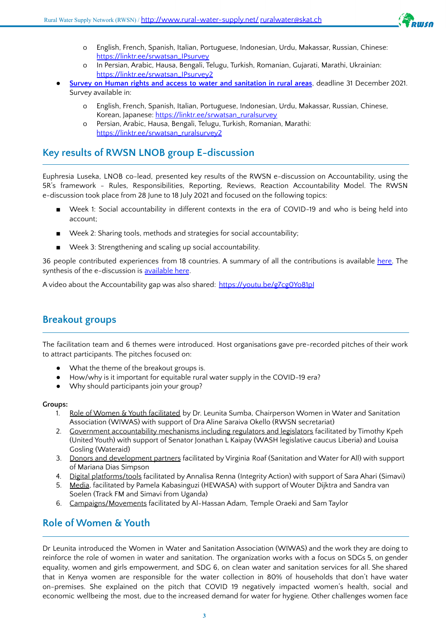

- o English, French, Spanish, Italian, Portuguese, Indonesian, Urdu, Makassar, Russian, Chinese: [https://linktr.ee/srwatsan\\_IPsurvey](https://linktr.ee/srwatsan_IPsurvey)
- In Persian, Arabic, Hausa, Bengali, Telugu, Turkish, Romanian, Gujarati, Marathi, Ukrainian: [https://linktr.ee/srwatsan\\_IPsurvey2](https://linktr.ee/srwatsan_IPsurvey2)
- **Survey on Human rights and access to water and [sanitation](https://docs.google.com/forms/d/e/1FAIpQLSeQXbrkDSMhoNd19qUDLXH8JIQnpbp---rsG3fyCWABNvtcNw/viewform) in rural areas**, deadline 31 December 2021. Survey available in:
	- English, French, Spanish, Italian, Portuguese, Indonesian, Urdu, Makassar, Russian, Chinese, Korean, Japanese: [https://linktr.ee/srwatsan\\_ruralsurvey](https://linktr.ee/srwatsan_ruralsurvey)
	- Persian, Arabic, Hausa, Bengali, Telugu, Turkish, Romanian, Marathi: [https://linktr.ee/srwatsan\\_ruralsurvey2](https://linktr.ee/srwatsan_ruralsurvey2)

#### **Key results of RWSN LNOB group E-discussion**

Euphresia Luseka, LNOB co-lead, presented key results of the RWSN e-discussion on Accountability, using the 5R's framework - Rules, Responsibilities, Reporting, Reviews, Reaction Accountability Model. The RWSN e-discussion took place from 28 June to 18 July 2021 and focused on the following topics:

- Week 1: Social accountability in different contexts in the era of COVID-19 and who is being held into account;
- Week 2: Sharing tools, methods and strategies for social accountability;
- Week 3: Strengthening and scaling up social accountability.

36 people contributed experiences from 18 countries. A summary of all the contributions is available [here.](https://www.rural-water-supply.net/en/resources/details/1002) The synthesis of the e-discussion is [available](https://www.rural-water-supply.net/en/resources/details/1003) here.

A video about the Accountability gap was also shared: https://youtu.be/g7cg0Yo81pl

### **Breakout groups**

The facilitation team and 6 themes were introduced. Host organisations gave pre-recorded pitches of their work to attract participants. The pitches focused on:

- What the theme of the breakout groups is.
- How/why is it important for equitable rural water supply in the COVID-19 era?
- Why should participants join your group?

#### **Groups:**

- 1. Role of Women & Youth facilitated by Dr. Leunita Sumba, Chairperson Women in Water and Sanitation Association (WIWAS) with support of Dra Aline Saraiva Okello (RWSN secretariat)
- 2. Government accountability mechanisms including regulators and legislators facilitated by Timothy Kpeh (United Youth) with support of Senator Jonathan L Kaipay (WASH legislative caucus Liberia) and Louisa Gosling (Wateraid)
- 3. Donors and development partners facilitated by Virginia Roaf (Sanitation and Water for All) with support of Mariana Dias Simpson
- 4. Digital platforms/tools facilitated by Annalisa Renna (Integrity Action) with support of Sara Ahari (Simavi)
- 5. Media, facilitated by Pamela Kabasinguzi (HEWASA) with support of Wouter Dijktra and Sandra van Soelen (Track FM and Simavi from Uganda)
- 6. Campaigns/Movements facilitated by Al-Hassan Adam, Temple Oraeki and Sam Taylor

### **Role of Women & Youth**

Dr Leunita introduced the Women in Water and Sanitation Association (WIWAS) and the work they are doing to reinforce the role of women in water and sanitation. The organization works with a focus on SDGs 5, on gender equality, women and girls empowerment, and SDG 6, on clean water and sanitation services for all. She shared that in Kenya women are responsible for the water collection in 80% of households that don't have water on-premises. She explained on the pitch that COVID 19 negatively impacted women's health, social and economic wellbeing the most, due to the increased demand for water for hygiene. Other challenges women face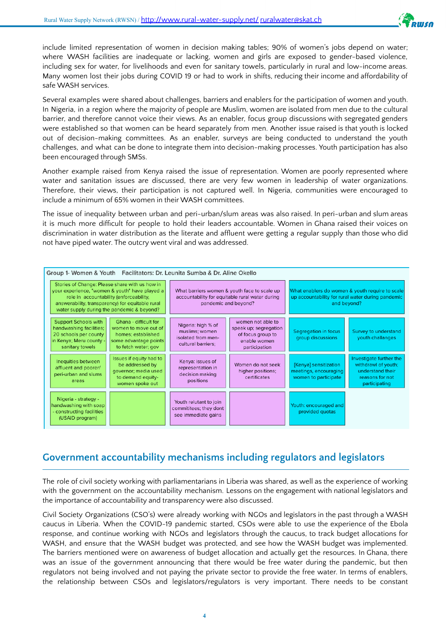

include limited representation of women in decision making tables; 90% of women's jobs depend on water; where WASH facilities are inadequate or lacking, women and girls are exposed to gender-based violence, including sex for water, for livelihoods and even for sanitary towels, particularly in rural and low-income areas. Many women lost their jobs during COVID 19 or had to work in shifts, reducing their income and affordability of safe WASH services.

Several examples were shared about challenges, barriers and enablers for the participation of women and youth. In Nigeria, in a region where the majority of people are Muslim, women are isolated from men due to the cultural barrier, and therefore cannot voice their views. As an enabler, focus group discussions with segregated genders were established so that women can be heard separately from men. Another issue raised is that youth is locked out of decision-making committees. As an enabler, surveys are being conducted to understand the youth challenges, and what can be done to integrate them into decision-making processes. Youth participation has also been encouraged through SMSs.

Another example raised from Kenya raised the issue of representation. Women are poorly represented where water and sanitation issues are discussed, there are very few women in leadership of water organizations. Therefore, their views, their participation is not captured well. In Nigeria, communities were encouraged to include a minimum of 65% women in their WASH committees.

The issue of inequality between urban and peri-urban/slum areas was also raised. In peri-urban and slum areas it is much more difficult for people to hold their leaders accountable. Women in Ghana raised their voices on discrimination in water distribution as the literate and affluent were getting a regular supply than those who did not have piped water. The outcry went viral and was addressed.



#### **Government accountability mechanisms including regulators and legislators**

The role of civil society working with parliamentarians in Liberia was shared, as well as the experience of working with the government on the accountability mechanism. Lessons on the engagement with national legislators and the importance of accountability and transparency were also discussed.

Civil Society Organizations (CSO's) were already working with NGOs and legislators in the past through a WASH caucus in Liberia. When the COVID-19 pandemic started, CSOs were able to use the experience of the Ebola response, and continue working with NGOs and legislators through the caucus, to track budget allocations for WASH, and ensure that the WASH budget was protected, and see how the WASH budget was implemented. The barriers mentioned were on awareness of budget allocation and actually get the resources. In Ghana, there was an issue of the government announcing that there would be free water during the pandemic, but then regulators not being involved and not paying the private sector to provide the free water. In terms of enablers, the relationship between CSOs and legislators/regulators is very important. There needs to be constant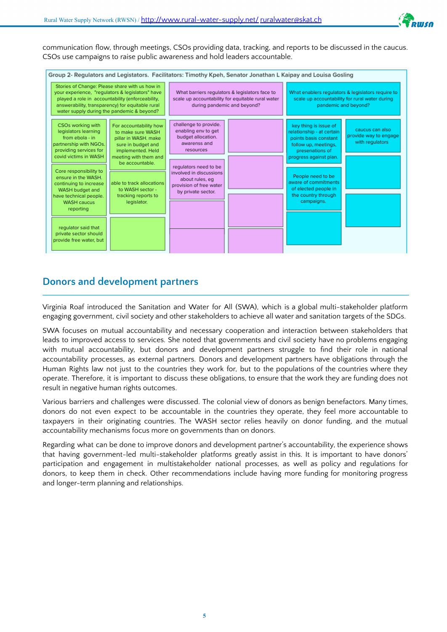

communication flow, through meetings, CSOs providing data, tracking, and reports to be discussed in the caucus. CSOs use campaigns to raise public awareness and hold leaders accountable.

| Group 2- Regulators and Legistators. Facilitators: Timothy Kpeh, Senator Jonathan L Kaipay and Louisa Gosling<br>Stories of Change: Please share with us how in<br>your experience, "requlators & legislators" have<br>played a role in accountability (enforceability,<br>answerability, transparency) for equitable rural<br>water supply during the pandemic & beyond?       |                                                                                                                                                                                                                                                   | What barriers requlators & legislators face to<br>scale up accountability for equitable rural water<br>during pandemic and beyond?                                                                                      |  | What enablers requlators & legislators require to<br>scale up accountability for rural water during<br>pandemic and beyond?                                                                                                                                |                                                             |
|---------------------------------------------------------------------------------------------------------------------------------------------------------------------------------------------------------------------------------------------------------------------------------------------------------------------------------------------------------------------------------|---------------------------------------------------------------------------------------------------------------------------------------------------------------------------------------------------------------------------------------------------|-------------------------------------------------------------------------------------------------------------------------------------------------------------------------------------------------------------------------|--|------------------------------------------------------------------------------------------------------------------------------------------------------------------------------------------------------------------------------------------------------------|-------------------------------------------------------------|
| CSOs working with<br>legislators learning<br>from ebola - in<br>partnership with NGOs.<br>providing services for<br>covid victims in WASH<br>Core responsibility to<br>ensure in the WASH.<br>continuing to increase<br>WASH budget and<br>have technical people.<br><b>WASH caucus</b><br>reporting<br>requlator said that<br>private sector should<br>provide free water, but | For accountability how<br>to make sure WASH<br>pillar in WASH, make<br>sure in budget and<br>implemented. Held<br>meeting with them and<br>be accountable.<br>able to track allocations<br>to WASH sector -<br>tracking reports to<br>legislator. | challenge to provide.<br>enabling env to get<br>budget allocation.<br>awarenss and<br>resources<br>requlators need to be<br>involved in discussions<br>about rules, eq<br>provision of free water<br>by private sector. |  | key thing is issue of<br>relationship - at certain<br>points basis constant<br>follow up, meetings,<br>presenations of<br>progress against plan.<br>People need to be<br>aware of commitments<br>of elected people in<br>the country through<br>campaigns. | caucus can also<br>provide way to engage<br>with regulators |

#### **Donors and development partners**

Virginia Roaf introduced the Sanitation and Water for All (SWA), which is a global multi-stakeholder platform engaging government, civil society and other stakeholders to achieve all water and sanitation targets of the SDGs.

SWA focuses on mutual accountability and necessary cooperation and interaction between stakeholders that leads to improved access to services. She noted that governments and civil society have no problems engaging with mutual accountability, but donors and development partners struggle to find their role in national accountability processes, as external partners. Donors and development partners have obligations through the Human Rights law not just to the countries they work for, but to the populations of the countries where they operate. Therefore, it is important to discuss these obligations, to ensure that the work they are funding does not result in negative human rights outcomes.

Various barriers and challenges were discussed. The colonial view of donors as benign benefactors. Many times, donors do not even expect to be accountable in the countries they operate, they feel more accountable to taxpayers in their originating countries. The WASH sector relies heavily on donor funding, and the mutual accountability mechanisms focus more on governments than on donors.

Regarding what can be done to improve donors and development partner's accountability, the experience shows that having government-led multi-stakeholder platforms greatly assist in this. It is important to have donors' participation and engagement in multistakeholder national processes, as well as policy and regulations for donors, to keep them in check. Other recommendations include having more funding for monitoring progress and longer-term planning and relationships.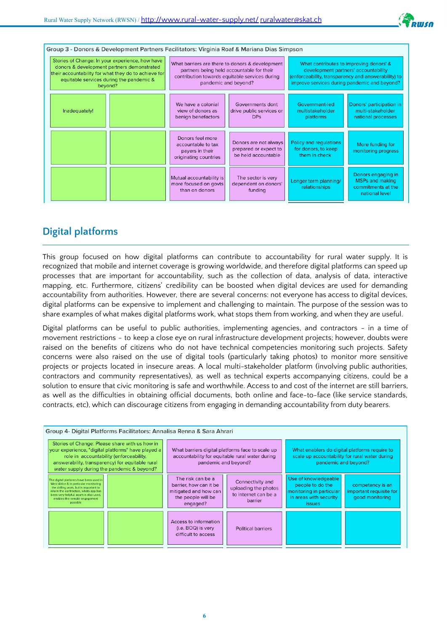

| Group 3 - Donors & Development Partners Facilitators: Virginia Roaf & Mariana Dias Simpson                                                                                                                   |  |                                                                                                                                                                        |                                                                       |                                                                                                                                                                                        |                                                                                      |  |  |  |
|--------------------------------------------------------------------------------------------------------------------------------------------------------------------------------------------------------------|--|------------------------------------------------------------------------------------------------------------------------------------------------------------------------|-----------------------------------------------------------------------|----------------------------------------------------------------------------------------------------------------------------------------------------------------------------------------|--------------------------------------------------------------------------------------|--|--|--|
| Stories of Change: In your experience, how have<br>donors & development partners demonstrated<br>their accountability for what they do to achieve for<br>equitable services during the pandemic &<br>beyond? |  | What barriers are there to donors & development<br>partners being held accountable for their<br>contribution towards equitable services during<br>pandemic and beyond? |                                                                       | What contributes to improving donors' &<br>development partners' accountability<br>(enforceability, transparency and answerability) to<br>improve services during pandemic and beyond? |                                                                                      |  |  |  |
| Inadequately!                                                                                                                                                                                                |  | We have a colonial<br>view of donors as<br>benign benefactors                                                                                                          | Governments dont<br>drive public services or<br><b>DPs</b>            | Government-led<br>multistakeholder<br>platforms                                                                                                                                        | Donors' participation in<br>multi-stakeholder<br>national processes                  |  |  |  |
|                                                                                                                                                                                                              |  | Donors feel more<br>accountable to tax<br>payers in their<br>originating countries                                                                                     | Donors are not always<br>prepared or expect to<br>be held accountable | Policy and regulations<br>for donors, to keep<br>them in check                                                                                                                         | More funding for<br>monitoring progress                                              |  |  |  |
|                                                                                                                                                                                                              |  | Mutual accountability is<br>more focused on govts<br>than on donors                                                                                                    | The sector is very<br>dependent on donors'<br>funding                 | Longer term planning/<br>relationships                                                                                                                                                 | Donors engaging in<br><b>MSPs and making</b><br>commitments at the<br>national level |  |  |  |

### **Digital platforms**

This group focused on how digital platforms can contribute to accountability for rural water supply. It is recognized that mobile and internet coverage is growing worldwide, and therefore digital platforms can speed up processes that are important for accountability, such as the collection of data, analysis of data, interactive mapping, etc. Furthermore, citizens' credibility can be boosted when digital devices are used for demanding accountability from authorities. However, there are several concerns: not everyone has access to digital devices, digital platforms can be expensive to implement and challenging to maintain. The purpose of the session was to share examples of what makes digital platforms work, what stops them from working, and when they are useful.

Digital platforms can be useful to public authorities, implementing agencies, and contractors - in a time of movement restrictions - to keep a close eye on rural infrastructure development projects; however, doubts were raised on the benefits of citizens who do not have technical competencies monitoring such projects. Safety concerns were also raised on the use of digital tools (particularly taking photos) to monitor more sensitive projects or projects located in insecure areas. A local multi-stakeholder platform (involving public authorities, contractors and community representatives), as well as technical experts accompanying citizens, could be a solution to ensure that civic monitoring is safe and worthwhile. Access to and cost of the internet are still barriers, as well as the difficulties in obtaining official documents, both online and face-to-face (like service standards, contracts, etc), which can discourage citizens from engaging in demanding accountability from duty bearers.

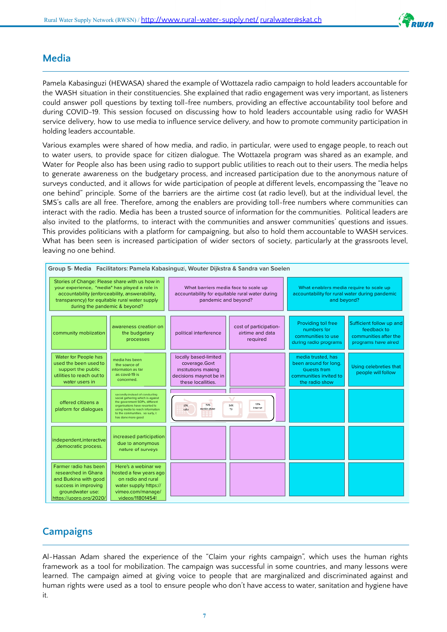

#### **Media**

Pamela Kabasinguzi (HEWASA) shared the example of Wottazela radio campaign to hold leaders accountable for the WASH situation in their constituencies. She explained that radio engagement was very important, as listeners could answer poll questions by texting toll-free numbers, providing an effective accountability tool before and during COVID-19. This session focused on discussing how to hold leaders accountable using radio for WASH service delivery, how to use media to influence service delivery, and how to promote community participation in holding leaders accountable.

Various examples were shared of how media, and radio, in particular, were used to engage people, to reach out to water users, to provide space for citizen dialogue. The Wottazela program was shared as an example, and Water for People also has been using radio to support public utilities to reach out to their users. The media helps to generate awareness on the budgetary process, and increased participation due to the anonymous nature of surveys conducted, and it allows for wide participation of people at different levels, encompassing the "leave no one behind" principle. Some of the barriers are the airtime cost (at radio level), but at the individual level, the SMS's calls are all free. Therefore, among the enablers are providing toll-free numbers where communities can interact with the radio. Media has been a trusted source of information for the communities. Political leaders are also invited to the platforms, to interact with the communities and answer communities' questions and issues. This provides politicians with a platform for campaigning, but also to hold them accountable to WASH services. What has been seen is increased participation of wider sectors of society, particularly at the grassroots level, leaving no one behind.



### **Campaigns**

Al-Hassan Adam shared the experience of the "Claim your rights campaign", which uses the human rights framework as a tool for mobilization. The campaign was successful in some countries, and many lessons were learned. The campaign aimed at giving voice to people that are marginalized and discriminated against and human rights were used as a tool to ensure people who don't have access to water, sanitation and hygiene have it.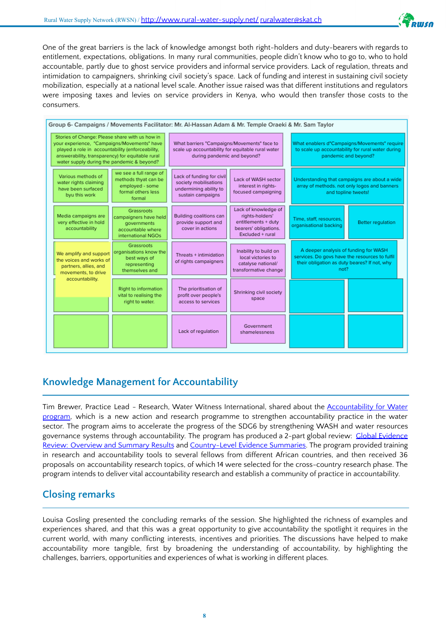

One of the great barriers is the lack of knowledge amongst both right-holders and duty-bearers with regards to entitlement, expectations, obligations. In many rural communities, people didn't know who to go to, who to hold accountable, partly due to ghost service providers and informal service providers. Lack of regulation, threats and intimidation to campaigners, shrinking civil society's space. Lack of funding and interest in sustaining civil society mobilization, especially at a national level scale. Another issue raised was that different institutions and regulators were imposing taxes and levies on service providers in Kenya, who would then transfer those costs to the consumers.



### **Knowledge Management for Accountability**

Tim Brewer, Practice Lead - Research, Water Witness International, shared about the [Accountability](https://www.accountabilityforwater.org/) for Water [program,](https://www.accountabilityforwater.org/) which is a new action and research programme to strengthen accountability practice in the water sector. The program aims to accelerate the progress of the SDG6 by strengthening WASH and water resources governance systems through accountability. The program has produced a 2-part global review: Global Evidence Review: Overview and Summary Results and [Country-Level](https://static1.squarespace.com/static/5f4e5fb147d4e15989533988/t/60b6599b98211053e1b1f850/1622563229504/Country+Level+Evidence+Summaries_FINAL.pdf) Evidence Summaries. The program provided training in research and accountability tools to several fellows from different African countries, and then received 36 proposals on accountability research topics, of which 14 were selected for the cross-country research phase. The program intends to deliver vital accountability research and establish a community of practice in accountability.

### **Closing remarks**

Louisa Gosling presented the concluding remarks of the session. She highlighted the richness of examples and experiences shared, and that this was a great opportunity to give accountability the spotlight it requires in the current world, with many conflicting interests, incentives and priorities. The discussions have helped to make accountability more tangible, first by broadening the understanding of accountability, by highlighting the challenges, barriers, opportunities and experiences of what is working in different places.